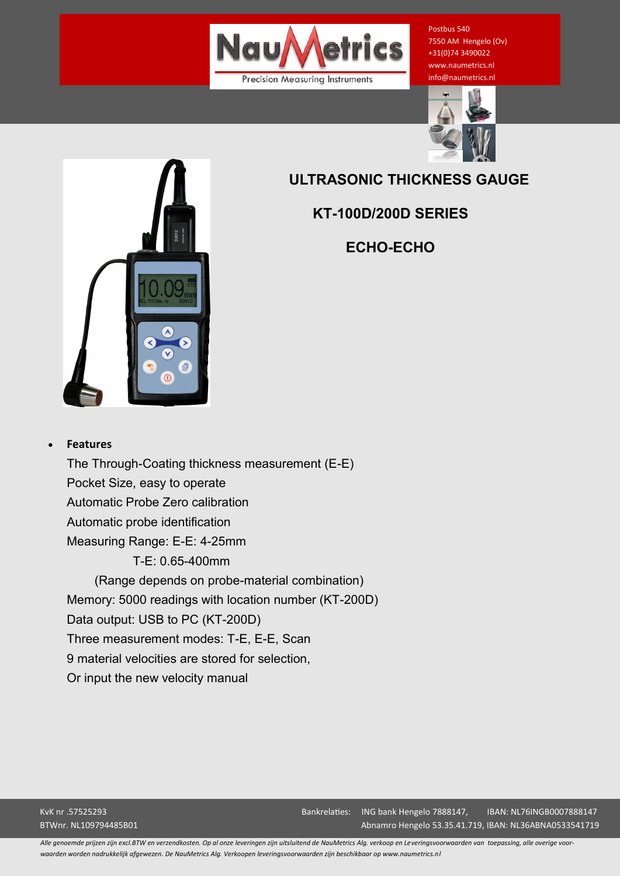

Postbus 540 7550 AM Hengelo (Ov) +31(0)74 3490022 www.naumetrics.nl info@naumetrics.nl





# **ULTRASONIC THICKNESS GAUGE**

**KT-100D/200D SERIES**

**ECHO-ECHO**

## **Features**

The Through-Coating thickness measurement (E-E) Pocket Size, easy to operate Automatic Probe Zero calibration Automatic probe identification Measuring Range: E-E: 4-25mm T-E: 0.65-400mm (Range depends on probe-material combination) Memory: 5000 readings with location number (KT-200D) Data output: USB to PC (KT-200D) Three measurement modes: T-E, E-E, Scan 9 material velocities are stored for selection, Or input the new velocity manual

*Alle genoemde prijzen zijn excl.BTW en verzendkosten. Op al onze leveringen zijn uitsluitend de NauMetrics Alg. verkoop en Leveringsvoorwaarden van toepassing, alle overige voorwaarden worden nadrukkelijk afgewezen. De NauMetrics Alg. Verkoopen leveringsvoorwaarden zijn beschikbaar op www.naumetrics.nl*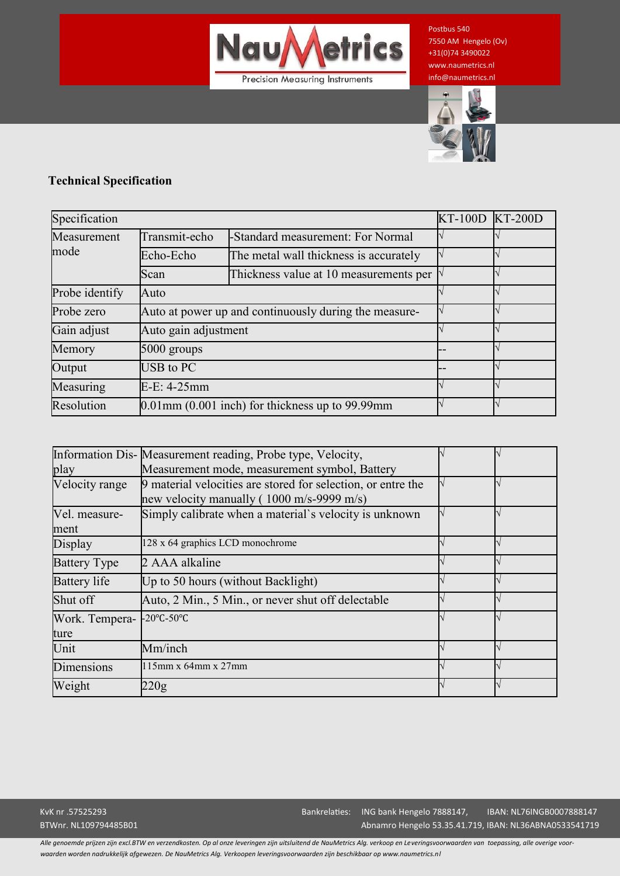

Postbus 540 7550 AM Hengelo (Ov) +31(0)74 3490022 www.naumetrics.nl info@naumetrics.nl



### **Technical Specification**

| Specification  |                                                       |                                        | KT-100D KT-200D |  |
|----------------|-------------------------------------------------------|----------------------------------------|-----------------|--|
| Measurement    | Transmit-echo                                         | -Standard measurement: For Normal      |                 |  |
| mode           | Echo-Echo                                             | The metal wall thickness is accurately |                 |  |
|                | Scan                                                  | Thickness value at 10 measurements per |                 |  |
| Probe identify | Auto                                                  |                                        |                 |  |
| Probe zero     | Auto at power up and continuously during the measure- |                                        |                 |  |
| Gain adjust    | Auto gain adjustment                                  |                                        |                 |  |
| Memory         | 5000 groups                                           |                                        |                 |  |
| Output         | USB to PC                                             |                                        |                 |  |
| Measuring      | $E-E: 4-25mm$                                         |                                        |                 |  |
| Resolution     | $0.01$ mm $(0.001$ inch) for thickness up to 99.99 mm |                                        |                 |  |

|                        | Information Dis- Measurement reading, Probe type, Velocity,                                               |  |
|------------------------|-----------------------------------------------------------------------------------------------------------|--|
| play                   | Measurement mode, measurement symbol, Battery                                                             |  |
| Velocity range         | 9 material velocities are stored for selection, or entre the<br>new velocity manually (1000 m/s-9999 m/s) |  |
| Vel. measure-<br>ment  | Simply calibrate when a material's velocity is unknown                                                    |  |
| Display                | 128 x 64 graphics LCD monochrome                                                                          |  |
| <b>Battery Type</b>    | 2 AAA alkaline                                                                                            |  |
| <b>Battery</b> life    | Up to 50 hours (without Backlight)                                                                        |  |
| Shut off               | Auto, 2 Min., 5 Min., or never shut off delectable                                                        |  |
| Work. Tempera-<br>ture | $-20^{\circ}$ C $-50^{\circ}$ C                                                                           |  |
| Unit                   | Mm/inch                                                                                                   |  |
| Dimensions             | $115$ mm x 64mm x 27mm                                                                                    |  |
| Weight                 | 220g                                                                                                      |  |

*Alle genoemde prijzen zijn excl.BTW en verzendkosten. Op al onze leveringen zijn uitsluitend de NauMetrics Alg. verkoop en Leveringsvoorwaarden van toepassing, alle overige voorwaarden worden nadrukkelijk afgewezen. De NauMetrics Alg. Verkoopen leveringsvoorwaarden zijn beschikbaar op www.naumetrics.nl*